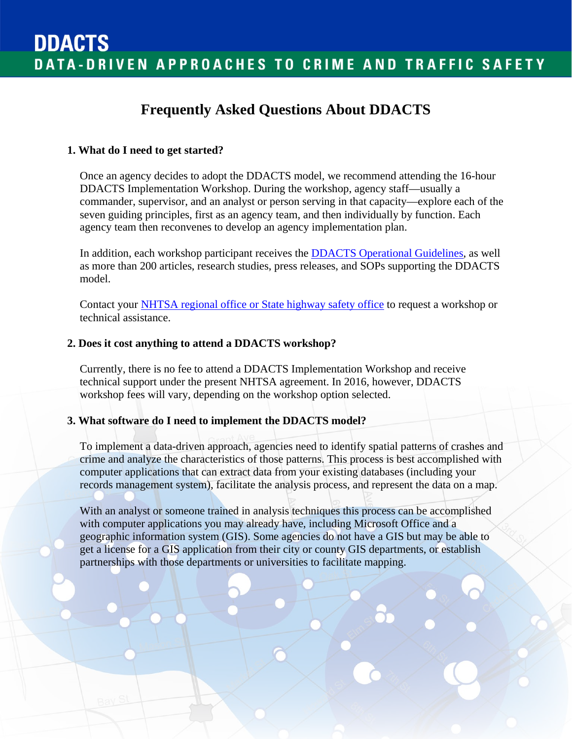# **Frequently Asked Questions About DDACTS**

#### **1. What do I need to get started?**

Once an agency decides to adopt the DDACTS model, we recommend attending the 16-hour DDACTS Implementation Workshop. During the workshop, agency staff—usually a commander, supervisor, and an analyst or person serving in that capacity—explore each of the seven guiding principles, first as an agency team, and then individually by function. Each agency team then reconvenes to develop an agency implementation plan.

In addition, each workshop participant receives the **DDACTS** Operational Guidelines, as well as more than 200 articles, research studies, press releases, and SOPs supporting the DDACTS model.

Contact your [NHTSA regional office or State highway safety office](http://www.nhtsa.gov/nhtsa/whatis/regions/index.html) to request a workshop or technical assistance.

#### **2. Does it cost anything to attend a DDACTS workshop?**

Currently, there is no fee to attend a DDACTS Implementation Workshop and receive technical support under the present NHTSA agreement. In 2016, however, DDACTS workshop fees will vary, depending on the workshop option selected.

#### **3. What software do I need to implement the DDACTS model?**

To implement a data-driven approach, agencies need to identify spatial patterns of crashes and crime and analyze the characteristics of those patterns. This process is best accomplished with computer applications that can extract data from your existing databases (including your records management system), facilitate the analysis process, and represent the data on a map.

With an analyst or someone trained in analysis techniques this process can be accomplished with computer applications you may already have, including Microsoft Office and a geographic information system (GIS). Some agencies do not have a GIS but may be able to get a license for a GIS application from their city or county GIS departments, or establish partnerships with those departments or universities to facilitate mapping.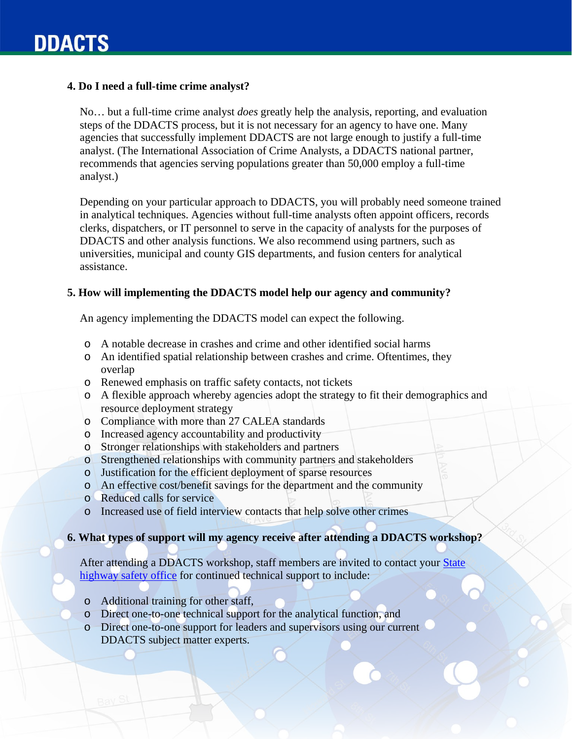## **4. Do I need a full-time crime analyst?**

No… but a full-time crime analyst *does* greatly help the analysis, reporting, and evaluation steps of the DDACTS process, but it is not necessary for an agency to have one. Many agencies that successfully implement DDACTS are not large enough to justify a full-time analyst. (The International Association of Crime Analysts, a DDACTS national partner, recommends that agencies serving populations greater than 50,000 employ a full-time analyst.)

Depending on your particular approach to DDACTS, you will probably need someone trained in analytical techniques. Agencies without full-time analysts often appoint officers, records clerks, dispatchers, or IT personnel to serve in the capacity of analysts for the purposes of DDACTS and other analysis functions. We also recommend using partners, such as universities, municipal and county GIS departments, and fusion centers for analytical assistance.

### **5. How will implementing the DDACTS model help our agency and community?**

An agency implementing the DDACTS model can expect the following.

- o A notable decrease in crashes and crime and other identified social harms
- o An identified spatial relationship between crashes and crime. Oftentimes, they overlap
- o Renewed emphasis on traffic safety contacts, not tickets
- o A flexible approach whereby agencies adopt the strategy to fit their demographics and resource deployment strategy
- o Compliance with more than 27 CALEA standards
- o Increased agency accountability and productivity
- o Stronger relationships with stakeholders and partners
- o Strengthened relationships with community partners and stakeholders
- o Justification for the efficient deployment of sparse resources
- o An effective cost/benefit savings for the department and the community
- o Reduced calls for service
- o Increased use of field interview contacts that help solve other crimes

# **6. What types of support will my agency receive after attending a DDACTS workshop?**

After attending a DDACTS workshop, staff members are invited to contact your [State](http://www.nhtsa.gov/nhtsa/whatis/regions/)  [highway safety office](http://www.nhtsa.gov/nhtsa/whatis/regions/) for continued technical support to include:

- o Additional training for other staff,
- o Direct one-to-one technical support for the analytical function, and
- o Direct one-to-one support for leaders and supervisors using our current DDACTS subject matter experts.